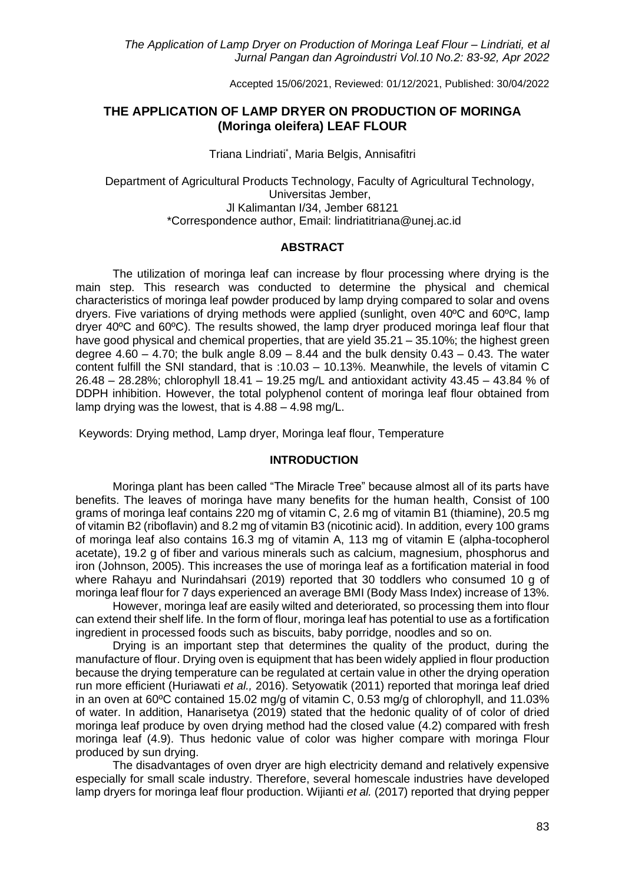Accepted 15/06/2021, Reviewed: 01/12/2021, Published: 30/04/2022

### **THE APPLICATION OF LAMP DRYER ON PRODUCTION OF MORINGA (Moringa oleifera) LEAF FLOUR**

Triana Lindriati\* , Maria Belgis, Annisafitri

Department of Agricultural Products Technology, Faculty of Agricultural Technology, Universitas Jember, Jl Kalimantan I/34, Jember 68121 \*Correspondence author, Email: lindriatitriana@unej.ac.id

### **ABSTRACT**

The utilization of moringa leaf can increase by flour processing where drying is the main step. This research was conducted to determine the physical and chemical characteristics of moringa leaf powder produced by lamp drying compared to solar and ovens dryers. Five variations of drying methods were applied (sunlight, oven 40ºC and 60ºC, lamp dryer 40ºC and 60ºC). The results showed, the lamp dryer produced moringa leaf flour that have good physical and chemical properties, that are yield 35.21 – 35.10%; the highest green degree 4.60 – 4.70; the bulk angle  $8.09 - 8.44$  and the bulk density  $0.43 - 0.43$ . The water content fulfill the SNI standard, that is :10.03 – 10.13%. Meanwhile, the levels of vitamin C 26.48 – 28.28%; chlorophyll 18.41 – 19.25 mg/L and antioxidant activity 43.45 – 43.84 % of DDPH inhibition. However, the total polyphenol content of moringa leaf flour obtained from lamp drying was the lowest, that is 4.88 – 4.98 mg/L.

Keywords: Drying method, Lamp dryer, Moringa leaf flour, Temperature

#### **INTRODUCTION**

Moringa plant has been called "The Miracle Tree" because almost all of its parts have benefits. The leaves of moringa have many benefits for the human health, Consist of 100 grams of moringa leaf contains 220 mg of vitamin C, 2.6 mg of vitamin B1 (thiamine), 20.5 mg of vitamin B2 (riboflavin) and 8.2 mg of vitamin B3 (nicotinic acid). In addition, every 100 grams of moringa leaf also contains 16.3 mg of vitamin A, 113 mg of vitamin E (alpha-tocopherol acetate), 19.2 g of fiber and various minerals such as calcium, magnesium, phosphorus and iron (Johnson, 2005). This increases the use of moringa leaf as a fortification material in food where Rahayu and Nurindahsari (2019) reported that 30 toddlers who consumed 10 g of moringa leaf flour for 7 days experienced an average BMI (Body Mass Index) increase of 13%.

However, moringa leaf are easily wilted and deteriorated, so processing them into flour can extend their shelf life. In the form of flour, moringa leaf has potential to use as a fortification ingredient in processed foods such as biscuits, baby porridge, noodles and so on.

Drying is an important step that determines the quality of the product, during the manufacture of flour. Drying oven is equipment that has been widely applied in flour production because the drying temperature can be regulated at certain value in other the drying operation run more efficient (Huriawati *et al.,* 2016). Setyowatik (2011) reported that moringa leaf dried in an oven at 60ºC contained 15.02 mg/g of vitamin C, 0.53 mg/g of chlorophyll, and 11.03% of water. In addition, Hanarisetya (2019) stated that the hedonic quality of of color of dried moringa leaf produce by oven drying method had the closed value (4.2) compared with fresh moringa leaf (4.9). Thus hedonic value of color was higher compare with moringa Flour produced by sun drying.

The disadvantages of oven dryer are high electricity demand and relatively expensive especially for small scale industry. Therefore, several homescale industries have developed lamp dryers for moringa leaf flour production. Wijianti *et al.* (2017) reported that drying pepper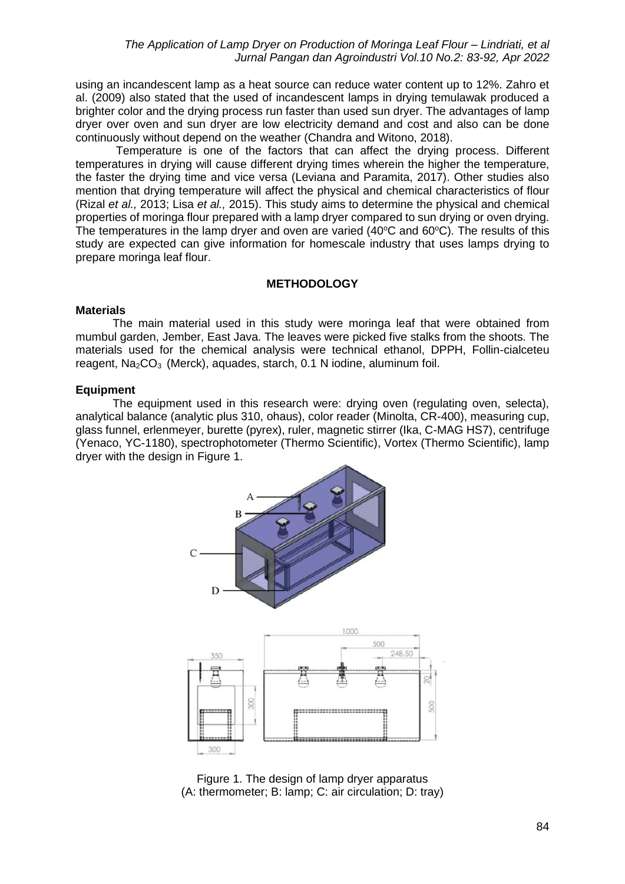using an incandescent lamp as a heat source can reduce water content up to 12%. Zahro et al. (2009) also stated that the used of incandescent lamps in drying temulawak produced a brighter color and the drying process run faster than used sun dryer. The advantages of lamp dryer over oven and sun dryer are low electricity demand and cost and also can be done continuously without depend on the weather (Chandra and Witono, 2018).

Temperature is one of the factors that can affect the drying process. Different temperatures in drying will cause different drying times wherein the higher the temperature, the faster the drying time and vice versa (Leviana and Paramita, 2017). Other studies also mention that drying temperature will affect the physical and chemical characteristics of flour (Rizal *et al.,* 2013; Lisa *et al.,* 2015). This study aims to determine the physical and chemical properties of moringa flour prepared with a lamp dryer compared to sun drying or oven drying. The temperatures in the lamp dryer and oven are varied (40 $\degree$ C and 60 $\degree$ C). The results of this study are expected can give information for homescale industry that uses lamps drying to prepare moringa leaf flour.

### **METHODOLOGY**

#### **Materials**

The main material used in this study were moringa leaf that were obtained from mumbul garden, Jember, East Java. The leaves were picked five stalks from the shoots. The materials used for the chemical analysis were technical ethanol, DPPH, Follin-cialceteu reagent, Na<sub>2</sub>CO<sub>3</sub> (Merck), aquades, starch, 0.1 N iodine, aluminum foil.

### **Equipment**

The equipment used in this research were: drying oven (regulating oven, selecta), analytical balance (analytic plus 310, ohaus), color reader (Minolta, CR-400), measuring cup, glass funnel, erlenmeyer, burette (pyrex), ruler, magnetic stirrer (Ika, C-MAG HS7), centrifuge (Yenaco, YC-1180), spectrophotometer (Thermo Scientific), Vortex (Thermo Scientific), lamp dryer with the design in Figure 1.



Figure 1. The design of lamp dryer apparatus (A: thermometer; B: lamp; C: air circulation; D: tray)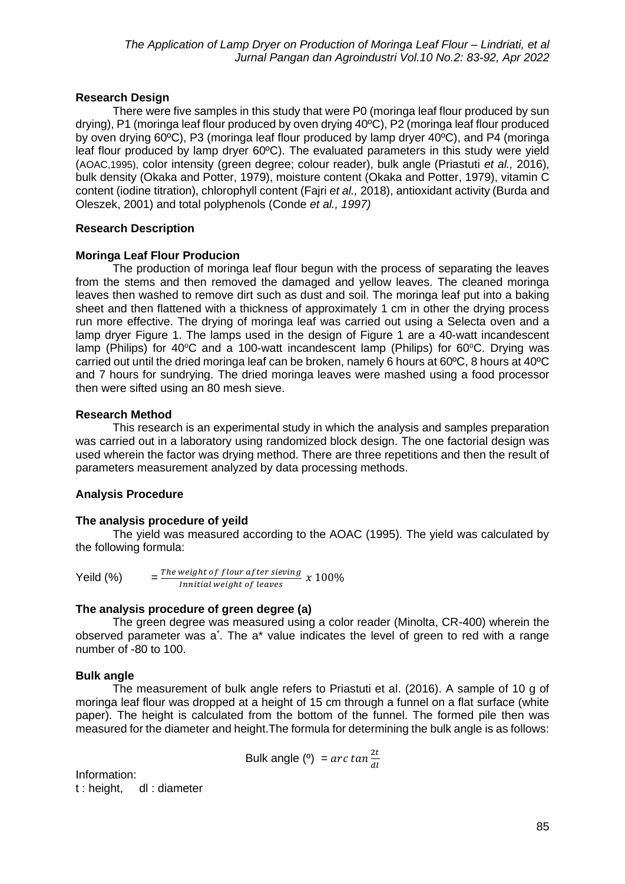### **Research Design**

There were five samples in this study that were P0 (moringa leaf flour produced by sun drying), P1 (moringa leaf flour produced by oven drying 40ºC), P2 (moringa leaf flour produced by oven drying 60ºC), P3 (moringa leaf flour produced by lamp dryer 40ºC), and P4 (moringa leaf flour produced by lamp dryer 60ºC). The evaluated parameters in this study were yield (AOAC,1995), color intensity (green degree; colour reader), bulk angle (Priastuti *et al.,* 2016), bulk density (Okaka and Potter, 1979), moisture content (Okaka and Potter, 1979), vitamin C content (iodine titration), chlorophyll content (Fajri *et al.,* 2018), antioxidant activity (Burda and Oleszek, 2001) and total polyphenols (Conde *et al., 1997)*

# **Research Description**

### **Moringa Leaf Flour Producion**

The production of moringa leaf flour begun with the process of separating the leaves from the stems and then removed the damaged and yellow leaves. The cleaned moringa leaves then washed to remove dirt such as dust and soil. The moringa leaf put into a baking sheet and then flattened with a thickness of approximately 1 cm in other the drying process run more effective. The drying of moringa leaf was carried out using a Selecta oven and a lamp dryer Figure 1. The lamps used in the design of Figure 1 are a 40-watt incandescent lamp (Philips) for 40 $\degree$ C and a 100-watt incandescent lamp (Philips) for 60 $\degree$ C. Drying was carried out until the dried moringa leaf can be broken, namely 6 hours at 60ºC, 8 hours at 40ºC and 7 hours for sundrying. The dried moringa leaves were mashed using a food processor then were sifted using an 80 mesh sieve.

### **Research Method**

This research is an experimental study in which the analysis and samples preparation was carried out in a laboratory using randomized block design. The one factorial design was used wherein the factor was drying method. There are three repetitions and then the result of parameters measurement analyzed by data processing methods.

# **Analysis Procedure**

### **The analysis procedure of yeild**

The yield was measured according to the AOAC (1995). The yield was calculated by the following formula:

Yeild  $(%)$ The weight of flour after sieving  $x 100\%$ Innitial weight of leaves

### **The analysis procedure of green degree (a)**

The green degree was measured using a color reader (Minolta, CR-400) wherein the observed parameter was a<sup>\*</sup>. The a\* value indicates the level of green to red with a range number of -80 to 100.

### **Bulk angle**

The measurement of bulk angle refers to Priastuti et al. (2016). A sample of 10 g of moringa leaf flour was dropped at a height of 15 cm through a funnel on a flat surface (white paper). The height is calculated from the bottom of the funnel. The formed pile then was measured for the diameter and height.The formula for determining the bulk angle is as follows:

Bulk angle (°) = 
$$
\arctan \frac{2t}{dt}
$$

Information: t : height, dl : diameter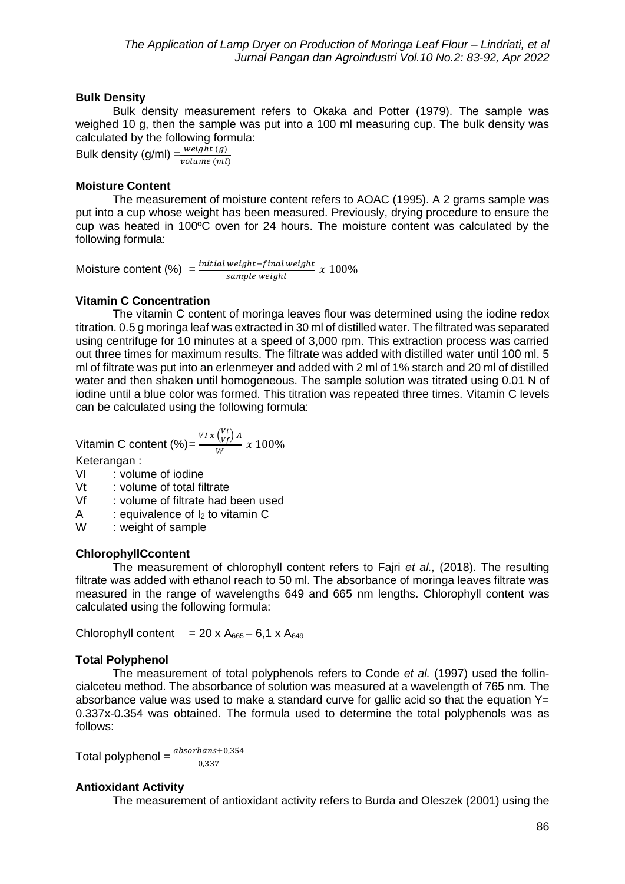### **Bulk Density**

Bulk density measurement refers to Okaka and Potter (1979). The sample was weighed 10 g, then the sample was put into a 100 ml measuring cup. The bulk density was calculated by the following formula:

Bulk density  $(g/ml) = \frac{weight(g)}{g}$ volume (ml)

### **Moisture Content**

The measurement of moisture content refers to AOAC (1995). A 2 grams sample was put into a cup whose weight has been measured. Previously, drying procedure to ensure the cup was heated in 100ºC oven for 24 hours. The moisture content was calculated by the following formula:

Moisture content  $(\%) = \frac{initial \ weight - final \ weight}{comm \ weight}$  $\frac{m_{\text{e}}}{x}$  ample weight  $\frac{m_{\text{e}}}{x}$  to  $100\%$ 

# **Vitamin C Concentration**

The vitamin C content of moringa leaves flour was determined using the iodine redox titration. 0.5 g moringa leaf was extracted in 30 ml of distilled water. The filtrated was separated using centrifuge for 10 minutes at a speed of 3,000 rpm. This extraction process was carried out three times for maximum results. The filtrate was added with distilled water until 100 ml. 5 ml of filtrate was put into an erlenmeyer and added with 2 ml of 1% starch and 20 ml of distilled water and then shaken until homogeneous. The sample solution was titrated using 0.01 N of iodine until a blue color was formed. This titration was repeated three times. Vitamin C levels can be calculated using the following formula:

Vitamin C content (%) = 
$$
\frac{VI \times (\frac{Vt}{Vf}) A}{W} \times 100\%
$$

Keterangan :

- VI : volume of iodine
- Vt : volume of total filtrate
- Vf : volume of filtrate had been used
- A : equivalence of  $I_2$  to vitamin C
- W : weight of sample

# **ChlorophyllCcontent**

The measurement of chlorophyll content refers to Fajri *et al.,* (2018). The resulting filtrate was added with ethanol reach to 50 ml. The absorbance of moringa leaves filtrate was measured in the range of wavelengths 649 and 665 nm lengths. Chlorophyll content was calculated using the following formula:

Chlorophyll content =  $20 \times A_{665} - 6,1 \times A_{649}$ 

# **Total Polyphenol**

The measurement of total polyphenols refers to Conde *et al.* (1997) used the follincialceteu method. The absorbance of solution was measured at a wavelength of 765 nm. The absorbance value was used to make a standard curve for gallic acid so that the equation  $Y=$ 0.337x-0.354 was obtained. The formula used to determine the total polyphenols was as follows:

Total polyphenol =  $\frac{absorbans+0,354}{0,337}$ 

# **Antioxidant Activity**

The measurement of antioxidant activity refers to Burda and Oleszek (2001) using the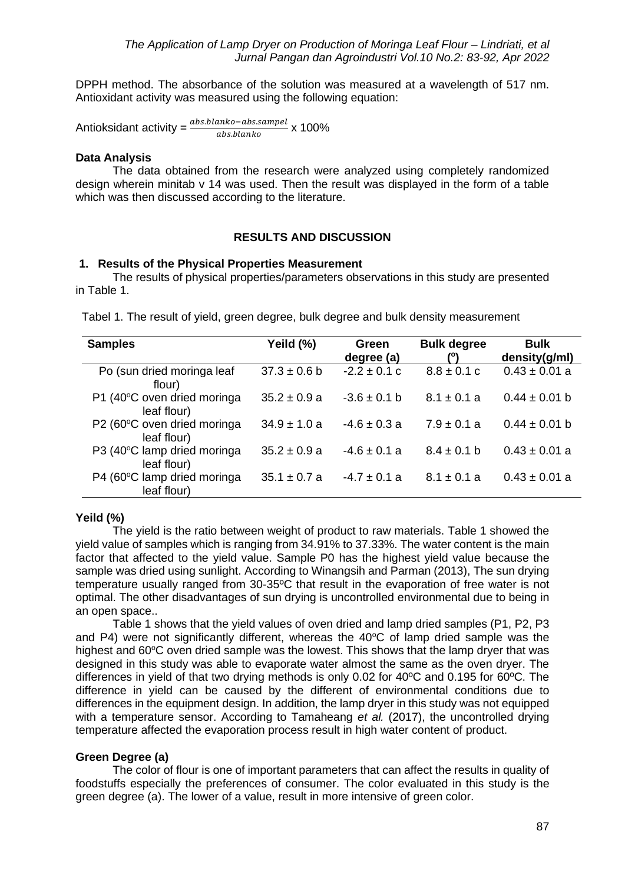DPPH method. The absorbance of the solution was measured at a wavelength of 517 nm. Antioxidant activity was measured using the following equation:

Antioksidant activity = 
$$
\frac{abs.blanko - abs.sampel}{abs.blanko} \times 100\%
$$

#### **Data Analysis**

The data obtained from the research were analyzed using completely randomized design wherein minitab v 14 was used. Then the result was displayed in the form of a table which was then discussed according to the literature.

### **RESULTS AND DISCUSSION**

### **1. Results of the Physical Properties Measurement**

The results of physical properties/parameters observations in this study are presented in Table 1.

|  |  |  |  |  |  | Tabel 1. The result of yield, green degree, bulk degree and bulk density measurement |
|--|--|--|--|--|--|--------------------------------------------------------------------------------------|
|--|--|--|--|--|--|--------------------------------------------------------------------------------------|

| <b>Samples</b>                             | Yeild (%)        | Green            | <b>Bulk degree</b> | <b>Bulk</b>       |
|--------------------------------------------|------------------|------------------|--------------------|-------------------|
|                                            |                  | degree (a)       | /ግ                 | density(g/ml)     |
| Po (sun dried moringa leaf<br>flour)       | $37.3 \pm 0.6$ b | $-2.2 \pm 0.1$ c | $8.8 \pm 0.1$ c    | $0.43 \pm 0.01$ a |
| P1 (40°C oven dried moringa<br>leaf flour) | $35.2 \pm 0.9 a$ | $-3.6 \pm 0.1$ b | $8.1 \pm 0.1$ a    | $0.44 \pm 0.01$ b |
| P2 (60°C oven dried moringa<br>leaf flour) | $34.9 \pm 1.0 a$ | $-4.6 \pm 0.3 a$ | $7.9 \pm 0.1$ a    | $0.44 \pm 0.01$ b |
| P3 (40°C lamp dried moringa<br>leaf flour) | $35.2 \pm 0.9 a$ | $-4.6 \pm 0.1 a$ | $8.4 \pm 0.1$ b    | $0.43 \pm 0.01$ a |
| P4 (60°C lamp dried moringa<br>leaf flour) | $35.1 \pm 0.7$ a | $-4.7 \pm 0.1$ a | $8.1 \pm 0.1$ a    | $0.43 \pm 0.01$ a |

### **Yeild (%)**

The yield is the ratio between weight of product to raw materials. Table 1 showed the yield value of samples which is ranging from 34.91% to 37.33%. The water content is the main factor that affected to the yield value. Sample P0 has the highest yield value because the sample was dried using sunlight. According to Winangsih and Parman (2013), The sun drying temperature usually ranged from 30-35ºC that result in the evaporation of free water is not optimal. The other disadvantages of sun drying is uncontrolled environmental due to being in an open space..

Table 1 shows that the yield values of oven dried and lamp dried samples (P1, P2, P3 and P4) were not significantly different, whereas the  $40^{\circ}$ C of lamp dried sample was the highest and  $60^{\circ}$ C oven dried sample was the lowest. This shows that the lamp dryer that was designed in this study was able to evaporate water almost the same as the oven dryer. The differences in yield of that two drying methods is only 0.02 for 40ºC and 0.195 for 60ºC. The difference in yield can be caused by the different of environmental conditions due to differences in the equipment design. In addition, the lamp dryer in this study was not equipped with a temperature sensor. According to Tamaheang *et al.* (2017), the uncontrolled drying temperature affected the evaporation process result in high water content of product.

### **Green Degree (a)**

The color of flour is one of important parameters that can affect the results in quality of foodstuffs especially the preferences of consumer. The color evaluated in this study is the green degree (a). The lower of a value, result in more intensive of green color.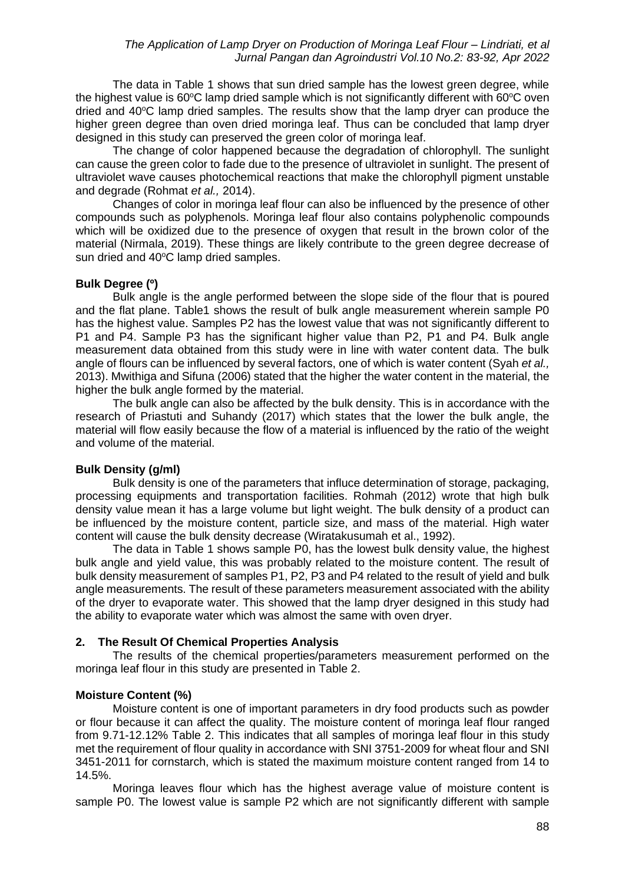The data in Table 1 shows that sun dried sample has the lowest green degree, while the highest value is  $60^{\circ}$ C lamp dried sample which is not significantly different with  $60^{\circ}$ C oven dried and 40°C lamp dried samples. The results show that the lamp dryer can produce the higher green degree than oven dried moringa leaf. Thus can be concluded that lamp dryer designed in this study can preserved the green color of moringa leaf.

The change of color happened because the degradation of chlorophyll. The sunlight can cause the green color to fade due to the presence of ultraviolet in sunlight. The present of ultraviolet wave causes photochemical reactions that make the chlorophyll pigment unstable and degrade (Rohmat *et al.,* 2014).

Changes of color in moringa leaf flour can also be influenced by the presence of other compounds such as polyphenols. Moringa leaf flour also contains polyphenolic compounds which will be oxidized due to the presence of oxygen that result in the brown color of the material (Nirmala, 2019). These things are likely contribute to the green degree decrease of sun dried and 40°C lamp dried samples.

### **Bulk Degree (º)**

Bulk angle is the angle performed between the slope side of the flour that is poured and the flat plane. Table1 shows the result of bulk angle measurement wherein sample P0 has the highest value. Samples P2 has the lowest value that was not significantly different to P1 and P4. Sample P3 has the significant higher value than P2, P1 and P4. Bulk angle measurement data obtained from this study were in line with water content data. The bulk angle of flours can be influenced by several factors, one of which is water content (Syah *et al.,* 2013). Mwithiga and Sifuna (2006) stated that the higher the water content in the material, the higher the bulk angle formed by the material.

The bulk angle can also be affected by the bulk density. This is in accordance with the research of Priastuti and Suhandy (2017) which states that the lower the bulk angle, the material will flow easily because the flow of a material is influenced by the ratio of the weight and volume of the material.

### **Bulk Density (g/ml)**

Bulk density is one of the parameters that influce determination of storage, packaging, processing equipments and transportation facilities. Rohmah (2012) wrote that high bulk density value mean it has a large volume but light weight. The bulk density of a product can be influenced by the moisture content, particle size, and mass of the material. High water content will cause the bulk density decrease (Wiratakusumah et al., 1992).

The data in Table 1 shows sample P0, has the lowest bulk density value, the highest bulk angle and yield value, this was probably related to the moisture content. The result of bulk density measurement of samples P1, P2, P3 and P4 related to the result of yield and bulk angle measurements. The result of these parameters measurement associated with the ability of the dryer to evaporate water. This showed that the lamp dryer designed in this study had the ability to evaporate water which was almost the same with oven dryer.

# **2. The Result Of Chemical Properties Analysis**

The results of the chemical properties/parameters measurement performed on the moringa leaf flour in this study are presented in Table 2.

# **Moisture Content (%)**

Moisture content is one of important parameters in dry food products such as powder or flour because it can affect the quality. The moisture content of moringa leaf flour ranged from 9.71-12.12% Table 2. This indicates that all samples of moringa leaf flour in this study met the requirement of flour quality in accordance with SNI 3751-2009 for wheat flour and SNI 3451-2011 for cornstarch, which is stated the maximum moisture content ranged from 14 to 14.5%.

Moringa leaves flour which has the highest average value of moisture content is sample P0. The lowest value is sample P2 which are not significantly different with sample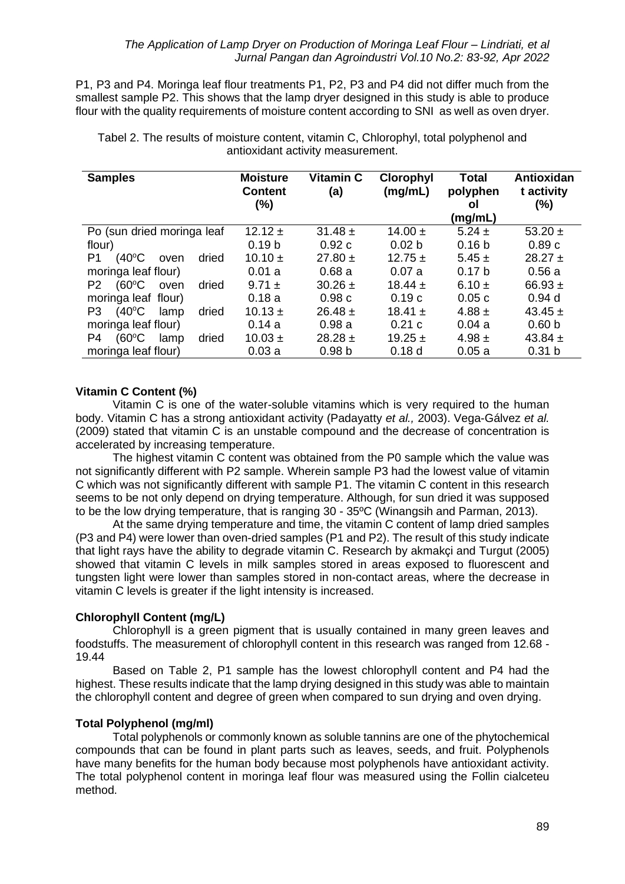P1, P3 and P4. Moringa leaf flour treatments P1, P2, P3 and P4 did not differ much from the smallest sample P2. This shows that the lamp dryer designed in this study is able to produce flour with the quality requirements of moisture content according to SNI as well as oven dryer.

| <b>Samples</b>                                     | <b>Moisture</b><br><b>Content</b><br>$(\%)$ | Vitamin C<br>(a)  | <b>Clorophyl</b><br>(mg/mL) | <b>Total</b><br>polyphen<br>οl<br>(mg/mL) | Antioxidan<br>t activity<br>(%) |
|----------------------------------------------------|---------------------------------------------|-------------------|-----------------------------|-------------------------------------------|---------------------------------|
| Po (sun dried moringa leaf                         | $12.12 \pm$                                 | $31.48 \pm$       | 14.00 $\pm$                 | $5.24 \pm$                                | 53.20 $\pm$                     |
| flour)                                             | 0.19 <sub>b</sub>                           | 0.92c             | 0.02 <sub>b</sub>           | 0.16 <sub>b</sub>                         | 0.89c                           |
| $(40^{\circ}C)$<br>dried<br>P1<br>oven             | $10.10 \pm$                                 | $27.80 \pm$       | $12.75 \pm$                 | $5.45 \pm$                                | $28.27 \pm$                     |
| moringa leaf flour)                                | 0.01a                                       | 0.68a             | 0.07a                       | 0.17 <sub>b</sub>                         | 0.56a                           |
| $(60^{\circ}C)$<br>dried<br>P <sub>2</sub><br>oven | $9.71 \pm$                                  | $30.26 \pm$       | $18.44 \pm$                 | 6.10 $\pm$                                | 66.93 $\pm$                     |
| moringa leaf flour)                                | 0.18a                                       | 0.98c             | 0.19c                       | 0.05c                                     | 0.94d                           |
| $(40^{\circ}C)$<br>dried<br>P3<br>lamp             | $10.13 \pm$                                 | $26.48 \pm$       | $18.41 \pm$                 | $4.88 +$                                  | 43.45 $\pm$                     |
| moringa leaf flour)                                | 0.14a                                       | 0.98a             | 0.21c                       | 0.04a                                     | 0.60 <sub>b</sub>               |
| $(60^{\circ}C)$<br>dried<br>P4<br>lamp             | $10.03 \pm$                                 | $28.28 \pm$       | 19.25 $\pm$                 | $4.98 \pm$                                | 43.84 $\pm$                     |
| moringa leaf flour)                                | 0.03a                                       | 0.98 <sub>b</sub> | 0.18 <sub>d</sub>           | 0.05a                                     | 0.31 <sub>b</sub>               |

Tabel 2. The results of moisture content, vitamin C, Chlorophyl, total polyphenol and antioxidant activity measurement.

### **Vitamin C Content (%)**

Vitamin C is one of the water-soluble vitamins which is very required to the human body. Vitamin C has a strong antioxidant activity (Padayatty *et al.,* 2003). Vega-Gálvez *et al.* (2009) stated that vitamin C is an unstable compound and the decrease of concentration is accelerated by increasing temperature.

The highest vitamin C content was obtained from the P0 sample which the value was not significantly different with P2 sample. Wherein sample P3 had the lowest value of vitamin C which was not significantly different with sample P1. The vitamin C content in this research seems to be not only depend on drying temperature. Although, for sun dried it was supposed to be the low drying temperature, that is ranging 30 - 35ºC (Winangsih and Parman, 2013).

At the same drying temperature and time, the vitamin C content of lamp dried samples (P3 and P4) were lower than oven-dried samples (P1 and P2). The result of this study indicate that light rays have the ability to degrade vitamin C. Research by akmakçi and Turgut (2005) showed that vitamin C levels in milk samples stored in areas exposed to fluorescent and tungsten light were lower than samples stored in non-contact areas, where the decrease in vitamin C levels is greater if the light intensity is increased.

### **Chlorophyll Content (mg/L)**

Chlorophyll is a green pigment that is usually contained in many green leaves and foodstuffs. The measurement of chlorophyll content in this research was ranged from 12.68 - 19.44

Based on Table 2, P1 sample has the lowest chlorophyll content and P4 had the highest. These results indicate that the lamp drying designed in this study was able to maintain the chlorophyll content and degree of green when compared to sun drying and oven drying.

### **Total Polyphenol (mg/ml)**

Total polyphenols or commonly known as soluble tannins are one of the phytochemical compounds that can be found in plant parts such as leaves, seeds, and fruit. Polyphenols have many benefits for the human body because most polyphenols have antioxidant activity. The total polyphenol content in moringa leaf flour was measured using the Follin cialceteu method.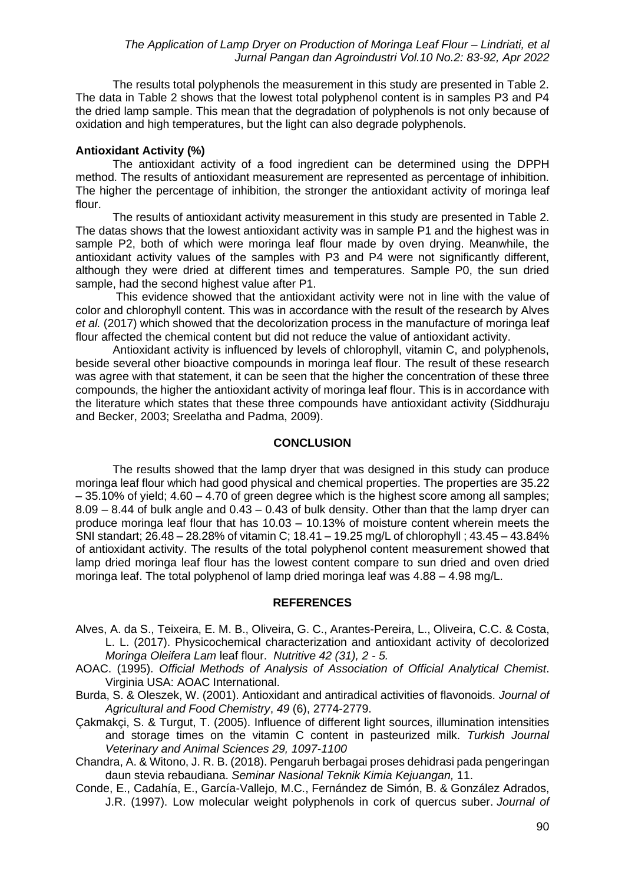The results total polyphenols the measurement in this study are presented in Table 2. The data in Table 2 shows that the lowest total polyphenol content is in samples P3 and P4 the dried lamp sample. This mean that the degradation of polyphenols is not only because of oxidation and high temperatures, but the light can also degrade polyphenols.

### **Antioxidant Activity (%)**

The antioxidant activity of a food ingredient can be determined using the DPPH method. The results of antioxidant measurement are represented as percentage of inhibition. The higher the percentage of inhibition, the stronger the antioxidant activity of moringa leaf flour.

The results of antioxidant activity measurement in this study are presented in Table 2. The datas shows that the lowest antioxidant activity was in sample P1 and the highest was in sample P2, both of which were moringa leaf flour made by oven drying. Meanwhile, the antioxidant activity values of the samples with P3 and P4 were not significantly different, although they were dried at different times and temperatures. Sample P0, the sun dried sample, had the second highest value after P1.

This evidence showed that the antioxidant activity were not in line with the value of color and chlorophyll content. This was in accordance with the result of the research by Alves *et al.* (2017) which showed that the decolorization process in the manufacture of moringa leaf flour affected the chemical content but did not reduce the value of antioxidant activity.

Antioxidant activity is influenced by levels of chlorophyll, vitamin C, and polyphenols, beside several other bioactive compounds in moringa leaf flour. The result of these research was agree with that statement, it can be seen that the higher the concentration of these three compounds, the higher the antioxidant activity of moringa leaf flour. This is in accordance with the literature which states that these three compounds have antioxidant activity (Siddhuraju and Becker, 2003; Sreelatha and Padma, 2009).

### **CONCLUSION**

The results showed that the lamp dryer that was designed in this study can produce moringa leaf flour which had good physical and chemical properties. The properties are 35.22 – 35.10% of yield; 4.60 – 4.70 of green degree which is the highest score among all samples;  $8.09 - 8.44$  of bulk angle and  $0.43 - 0.43$  of bulk density. Other than that the lamp dryer can produce moringa leaf flour that has 10.03 – 10.13% of moisture content wherein meets the SNI standart; 26.48 – 28.28% of vitamin C; 18.41 – 19.25 mg/L of chlorophyll ; 43.45 – 43.84% of antioxidant activity. The results of the total polyphenol content measurement showed that lamp dried moringa leaf flour has the lowest content compare to sun dried and oven dried moringa leaf. The total polyphenol of lamp dried moringa leaf was 4.88 – 4.98 mg/L.

### **REFERENCES**

- Alves, A. da S., Teixeira, E. M. B., Oliveira, G. C., Arantes-Pereira, L., Oliveira, C.C. & Costa, L. L. (2017). Physicochemical characterization and antioxidant activity of decolorized *Moringa Oleifera Lam* leaf flour. *Nutritive 42 (31), 2 - 5.*
- AOAC. (1995). *Official Methods of Analysis of Association of Official Analytical Chemist*. Virginia USA: AOAC International.
- Burda, S. & Oleszek, W. (2001). Antioxidant and antiradical activities of flavonoids. *Journal of Agricultural and Food Chemistry*, *49* (6), 2774-2779.
- Çakmakçi, S. & Turgut, T. (2005). Influence of different light sources, illumination intensities and storage times on the vitamin C content in pasteurized milk. *Turkish Journal Veterinary and Animal Sciences 29, 1097-1100*

Chandra, A. & Witono, J. R. B. (2018). Pengaruh berbagai proses dehidrasi pada pengeringan daun stevia rebaudiana. *Seminar Nasional Teknik Kimia Kejuangan,* 11.

Conde, E., Cadahía, E., García-Vallejo, M.C., Fernández de Simón, B. & González Adrados, J.R. (1997). Low molecular weight polyphenols in cork of quercus suber. *Journal of*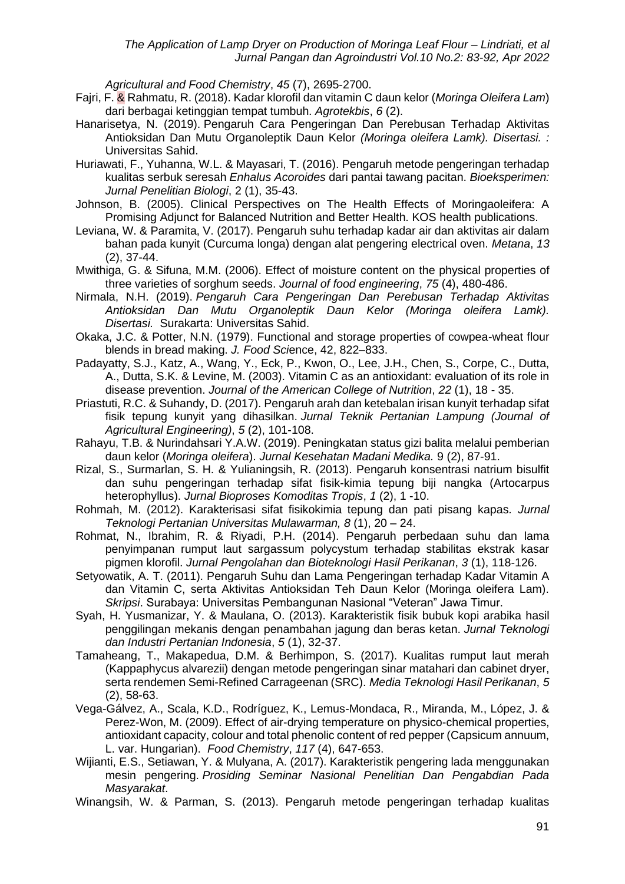*Agricultural and Food Chemistry*, *45* (7), 2695-2700.

- Fajri, F. & Rahmatu, R. (2018). Kadar klorofil dan vitamin C daun kelor (*Moringa Oleifera Lam*) dari berbagai ketinggian tempat tumbuh. *Agrotekbis*, *6* (2).
- Hanarisetya, N. (2019). Pengaruh Cara Pengeringan Dan Perebusan Terhadap Aktivitas Antioksidan Dan Mutu Organoleptik Daun Kelor *(Moringa oleifera Lamk). Disertasi. :* Universitas Sahid.
- Huriawati, F., Yuhanna, W.L. & Mayasari, T. (2016). Pengaruh metode pengeringan terhadap kualitas serbuk seresah *Enhalus Acoroides* dari pantai tawang pacitan. *Bioeksperimen: Jurnal Penelitian Biologi*, 2 (1), 35-43.
- Johnson, B. (2005). Clinical Perspectives on The Health Effects of Moringaoleifera: A Promising Adjunct for Balanced Nutrition and Better Health. KOS health publications.
- Leviana, W. & Paramita, V. (2017). Pengaruh suhu terhadap kadar air dan aktivitas air dalam bahan pada kunyit (Curcuma longa) dengan alat pengering electrical oven. *Metana*, *13*  (2), 37-44.
- Mwithiga, G. & Sifuna, M.M. (2006). Effect of moisture content on the physical properties of three varieties of sorghum seeds. *Journal of food engineering*, *75* (4), 480-486.
- Nirmala, N.H. (2019). *Pengaruh Cara Pengeringan Dan Perebusan Terhadap Aktivitas Antioksidan Dan Mutu Organoleptik Daun Kelor (Moringa oleifera Lamk). Disertasi.* Surakarta: Universitas Sahid.
- Okaka, J.C. & Potter, N.N. (1979). Functional and storage properties of cowpea-wheat flour blends in bread making. *J. Food Sci*ence, 42, 822–833.
- Padayatty, S.J., Katz, A., Wang, Y., Eck, P., Kwon, O., Lee, J.H., Chen, S., Corpe, C., Dutta, A., Dutta, S.K. & Levine, M. (2003). Vitamin C as an antioxidant: evaluation of its role in disease prevention. *Journal of the American College of Nutrition*, *22* (1), 18 - 35.
- Priastuti, R.C. & Suhandy, D. (2017). Pengaruh arah dan ketebalan irisan kunyit terhadap sifat fisik tepung kunyit yang dihasilkan. *Jurnal Teknik Pertanian Lampung (Journal of Agricultural Engineering)*, *5* (2), 101-108.
- Rahayu, T.B. & Nurindahsari Y.A.W. (2019). Peningkatan status gizi balita melalui pemberian daun kelor (*Moringa oleifera*). *Jurnal Kesehatan Madani Medika.* 9 (2), 87-91.
- Rizal, S., Surmarlan, S. H. & Yulianingsih, R. (2013). Pengaruh konsentrasi natrium bisulfit dan suhu pengeringan terhadap sifat fisik-kimia tepung biji nangka (Artocarpus heterophyllus). *Jurnal Bioproses Komoditas Tropis*, *1* (2), 1 -10.
- Rohmah, M. (2012). Karakterisasi sifat fisikokimia tepung dan pati pisang kapas*. Jurnal Teknologi Pertanian Universitas Mulawarman, 8* (1), 20 – 24.
- Rohmat, N., Ibrahim, R. & Riyadi, P.H. (2014). Pengaruh perbedaan suhu dan lama penyimpanan rumput laut sargassum polycystum terhadap stabilitas ekstrak kasar pigmen klorofil. *Jurnal Pengolahan dan Bioteknologi Hasil Perikanan*, *3* (1), 118-126.
- Setyowatik, A. T. (2011). Pengaruh Suhu dan Lama Pengeringan terhadap Kadar Vitamin A dan Vitamin C, serta Aktivitas Antioksidan Teh Daun Kelor (Moringa oleifera Lam). *Skripsi*. Surabaya: Universitas Pembangunan Nasional "Veteran" Jawa Timur.
- Syah, H. Yusmanizar, Y. & Maulana, O. (2013). Karakteristik fisik bubuk kopi arabika hasil penggilingan mekanis dengan penambahan jagung dan beras ketan. *Jurnal Teknologi dan Industri Pertanian Indonesia*, *5* (1), 32-37.
- Tamaheang, T., Makapedua, D.M. & Berhimpon, S. (2017). Kualitas rumput laut merah (Kappaphycus alvarezii) dengan metode pengeringan sinar matahari dan cabinet dryer, serta rendemen Semi-Refined Carrageenan (SRC). *Media Teknologi Hasil Perikanan*, *5*  (2), 58-63.
- Vega-Gálvez, A., Scala, K.D., Rodríguez, K., Lemus-Mondaca, R., Miranda, M., López, J. & Perez-Won, M. (2009). Effect of air-drying temperature on physico-chemical properties, antioxidant capacity, colour and total phenolic content of red pepper (Capsicum annuum, L. var. Hungarian). *Food Chemistry*, *117* (4), 647-653.
- Wijianti, E.S., Setiawan, Y. & Mulyana, A. (2017). Karakteristik pengering lada menggunakan mesin pengering. *Prosiding Seminar Nasional Penelitian Dan Pengabdian Pada Masyarakat*.
- Winangsih, W. & Parman, S. (2013). Pengaruh metode pengeringan terhadap kualitas